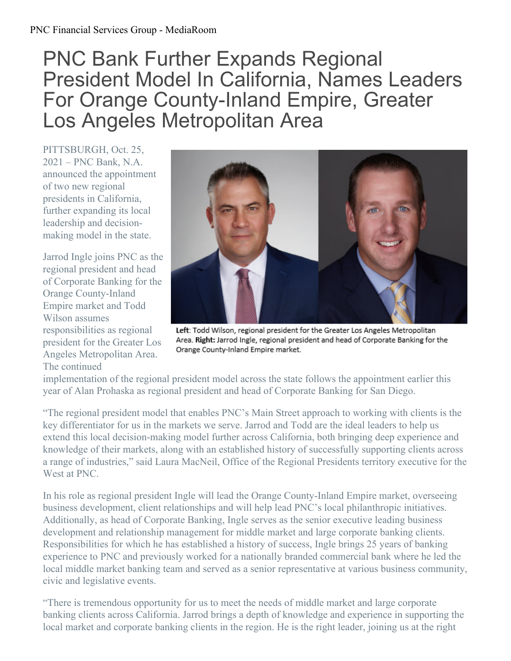## PNC Bank Further Expands Regional President Model In California, Names Leaders For Orange County-Inland Empire, Greater Los Angeles Metropolitan Area

PITTSBURGH, Oct. 25, 2021 – PNC Bank, N.A. announced the appointment of two new regional presidents in California, further expanding its local leadership and decisionmaking model in the state.

Jarrod Ingle joins PNC as the regional president and head of Corporate Banking for the Orange County-Inland Empire market and Todd Wilson assumes responsibilities as regional president for the Greater Los Angeles Metropolitan Area. The continued



Left: Todd Wilson, regional president for the Greater Los Angeles Metropolitan Area. Right: Jarrod Ingle, regional president and head of Corporate Banking for the Orange County-Inland Empire market.

implementation of the regional president model across the state follows the appointment earlier this year of Alan Prohaska as regional president and head of Corporate Banking for San Diego.

"The regional president model that enables PNC's Main Street approach to working with clients is the key differentiator for us in the markets we serve. Jarrod and Todd are the ideal leaders to help us extend this local decision-making model further across California, both bringing deep experience and knowledge of their markets, along with an established history of successfully supporting clients across a range of industries," said Laura MacNeil, Office of the Regional Presidents territory executive for the West at PNC.

In his role as regional president Ingle will lead the Orange County-Inland Empire market, overseeing business development, client relationships and will help lead PNC's local philanthropic initiatives. Additionally, as head of Corporate Banking, Ingle serves as the senior executive leading business development and relationship management for middle market and large corporate banking clients. Responsibilities for which he has established a history of success, Ingle brings 25 years of banking experience to PNC and previously worked for a nationally branded commercial bank where he led the local middle market banking team and served as a senior representative at various business community, civic and legislative events.

"There is tremendous opportunity for us to meet the needs of middle market and large corporate banking clients across California. Jarrod brings a depth of knowledge and experience in supporting the local market and corporate banking clients in the region. He is the right leader, joining us at the right